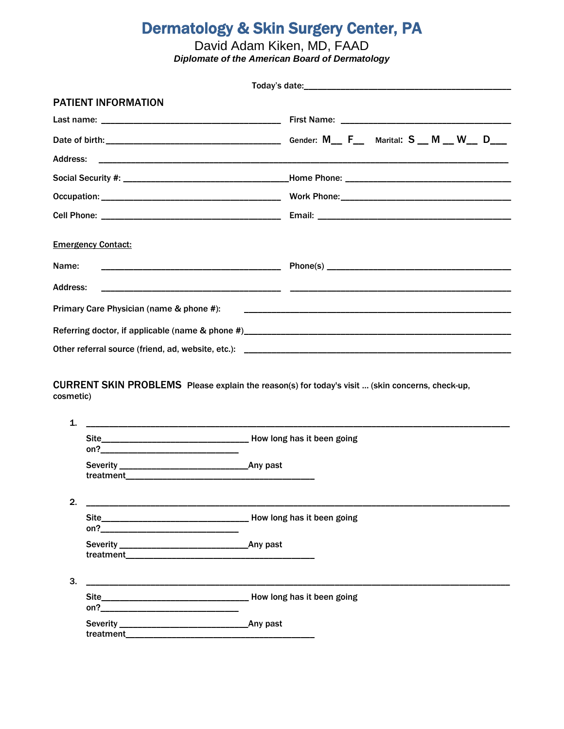# **Dermatology & Skin Surgery Center, PA**

David Adam Kiken, MD, FAAD<br>Diplomate of the American Board of Dermatology

|                 | <b>PATIENT INFORMATION</b>                                                                                           |                                                                                                                                                                                                                                |  |
|-----------------|----------------------------------------------------------------------------------------------------------------------|--------------------------------------------------------------------------------------------------------------------------------------------------------------------------------------------------------------------------------|--|
|                 |                                                                                                                      |                                                                                                                                                                                                                                |  |
|                 |                                                                                                                      |                                                                                                                                                                                                                                |  |
| <b>Address:</b> |                                                                                                                      |                                                                                                                                                                                                                                |  |
|                 |                                                                                                                      |                                                                                                                                                                                                                                |  |
|                 |                                                                                                                      |                                                                                                                                                                                                                                |  |
|                 |                                                                                                                      |                                                                                                                                                                                                                                |  |
|                 | <b>Emergency Contact:</b>                                                                                            |                                                                                                                                                                                                                                |  |
| Name:           |                                                                                                                      |                                                                                                                                                                                                                                |  |
| <b>Address:</b> |                                                                                                                      |                                                                                                                                                                                                                                |  |
|                 | Primary Care Physician (name & phone #):                                                                             |                                                                                                                                                                                                                                |  |
|                 |                                                                                                                      |                                                                                                                                                                                                                                |  |
|                 |                                                                                                                      | Other referral source (friend, ad, website, etc.): [19] Decrement and the material source of the state of the state of the state of the state of the state of the state of the state of the state of the state of the state of |  |
| cosmetic)<br>1. |                                                                                                                      | CURRENT SKIN PROBLEMS Please explain the reason(s) for today's visit  (skin concerns, check-up,                                                                                                                                |  |
|                 | on? _________________________                                                                                        |                                                                                                                                                                                                                                |  |
|                 |                                                                                                                      |                                                                                                                                                                                                                                |  |
| 2.              |                                                                                                                      |                                                                                                                                                                                                                                |  |
|                 |                                                                                                                      |                                                                                                                                                                                                                                |  |
|                 |                                                                                                                      |                                                                                                                                                                                                                                |  |
| 3.              | <u> 1980 - Johann John Harry Harry Harry Harry Harry Harry Harry Harry Harry Harry Harry Harry Harry Harry Harry</u> |                                                                                                                                                                                                                                |  |
|                 |                                                                                                                      |                                                                                                                                                                                                                                |  |

| Severity_ | Any past |
|-----------|----------|
| treatment |          |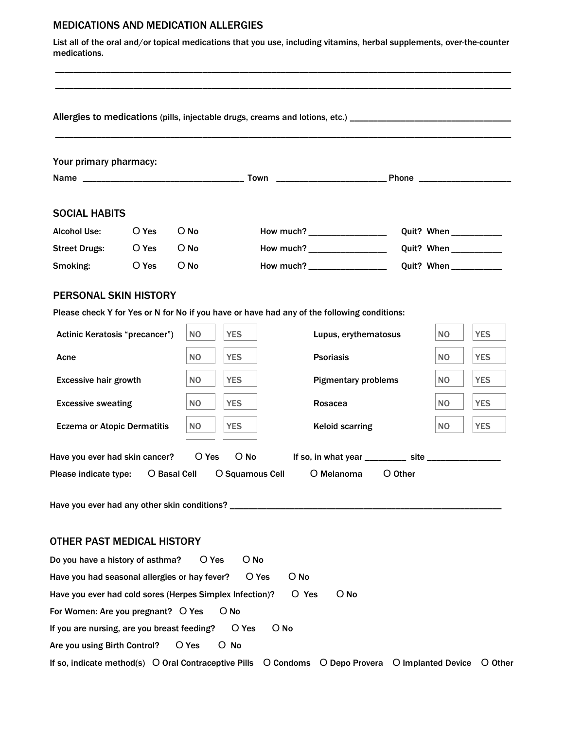## MEDICATIONS AND MEDICATION ALLERGIES

List all of the oral and/or topical medications that you use, including vitamins, herbal supplements, over-the-counter medications.

\_\_\_\_\_\_\_\_\_\_\_\_\_\_\_\_\_\_\_\_\_\_\_\_\_\_\_\_\_\_\_\_\_\_\_\_\_\_\_\_\_\_\_\_\_\_\_\_\_\_\_\_\_\_\_\_\_\_\_\_\_\_\_\_\_\_\_\_\_\_\_\_\_\_\_\_\_\_\_\_\_\_\_\_\_\_\_\_\_\_\_\_\_\_\_\_\_\_\_ \_\_\_\_\_\_\_\_\_\_\_\_\_\_\_\_\_\_\_\_\_\_\_\_\_\_\_\_\_\_\_\_\_\_\_\_\_\_\_\_\_\_\_\_\_\_\_\_\_\_\_\_\_\_\_\_\_\_\_\_\_\_\_\_\_\_\_\_\_\_\_\_\_\_\_\_\_\_\_\_\_\_\_\_\_\_\_\_\_\_\_\_\_\_\_\_\_\_\_

\_\_\_\_\_\_\_\_\_\_\_\_\_\_\_\_\_\_\_\_\_\_\_\_\_\_\_\_\_\_\_\_\_\_\_\_\_\_\_\_\_\_\_\_\_\_\_\_\_\_\_\_\_\_\_\_\_\_\_\_\_\_\_\_\_\_\_\_\_\_\_\_\_\_\_\_\_\_\_\_\_\_\_\_\_\_\_\_\_\_\_\_\_\_\_\_\_\_\_

## Allergies to medications (pills, injectable drugs, creams and lotions, etc.) \_\_\_\_\_\_\_\_\_\_\_\_\_\_\_\_\_\_\_\_\_\_\_\_\_\_\_\_\_\_\_\_\_

| Your primary pharmacy:                                                           |       |                |                 |                                                                                             |         |                         |            |
|----------------------------------------------------------------------------------|-------|----------------|-----------------|---------------------------------------------------------------------------------------------|---------|-------------------------|------------|
|                                                                                  |       |                |                 |                                                                                             |         |                         |            |
|                                                                                  |       |                |                 |                                                                                             |         |                         |            |
| <b>SOCIAL HABITS</b>                                                             |       |                |                 |                                                                                             |         |                         |            |
| <b>Alcohol Use:</b>                                                              | O Yes | $O$ No         |                 | How much? ___________________                                                               |         | Quit? When ____________ |            |
| <b>Street Drugs:</b><br>O Yes                                                    |       | $O$ No         |                 | How much? __________________                                                                |         |                         |            |
| Smoking:                                                                         | O Yes | $O$ No         |                 | How much? ___________________                                                               |         |                         |            |
| <b>PERSONAL SKIN HISTORY</b>                                                     |       |                |                 |                                                                                             |         |                         |            |
|                                                                                  |       |                |                 | Please check Y for Yes or N for No if you have or have had any of the following conditions: |         |                         |            |
| Actinic Keratosis "precancer")                                                   |       | <b>NO</b>      | <b>YES</b>      | Lupus, erythematosus                                                                        |         | NO.                     | <b>YES</b> |
| Acne                                                                             |       | N <sub>O</sub> | <b>YES</b>      | <b>Psoriasis</b>                                                                            |         | NO.                     | <b>YES</b> |
| <b>Excessive hair growth</b>                                                     |       | N <sub>O</sub> | <b>YES</b>      | <b>Pigmentary problems</b>                                                                  |         | NO.                     | <b>YES</b> |
| <b>Excessive sweating</b>                                                        |       | <b>NO</b>      | <b>YES</b>      | Rosacea                                                                                     |         | N <sub>O</sub>          | <b>YES</b> |
| <b>Eczema or Atopic Dermatitis</b>                                               |       | <b>NO</b>      | <b>YES</b>      | <b>Keloid scarring</b>                                                                      |         | N <sub>O</sub>          | <b>YES</b> |
| O Yes<br>$O$ No<br>Have you ever had skin cancer?                                |       |                |                 |                                                                                             |         |                         |            |
|                                                                                  |       |                | O Squamous Cell | O Melanoma                                                                                  | O Other |                         |            |
| Have you ever had any other skin conditions? ___________________________________ |       |                |                 |                                                                                             |         |                         |            |
| OTHER PAST MEDICAL HISTORY                                                       |       |                |                 |                                                                                             |         |                         |            |
| Do you have a history of asthma?                                                 |       | O Yes          | O No            |                                                                                             |         |                         |            |
| Have you had seasonal allergies or hay fever?                                    |       |                |                 | O No<br>O Yes                                                                               |         |                         |            |
| O No<br>Have you ever had cold sores (Herpes Simplex Infection)?<br>O Yes        |       |                |                 |                                                                                             |         |                         |            |
| For Women: Are you pregnant? O Yes<br>$O$ No                                     |       |                |                 |                                                                                             |         |                         |            |
| If you are nursing, are you breast feeding?                                      |       |                | O Yes           | $O$ No                                                                                      |         |                         |            |
| Are you using Birth Control?                                                     |       | O Yes          | O No            |                                                                                             |         |                         |            |

If so, indicate method(s) O Oral Contraceptive Pills O Condoms O Depo Provera O Implanted Device O Other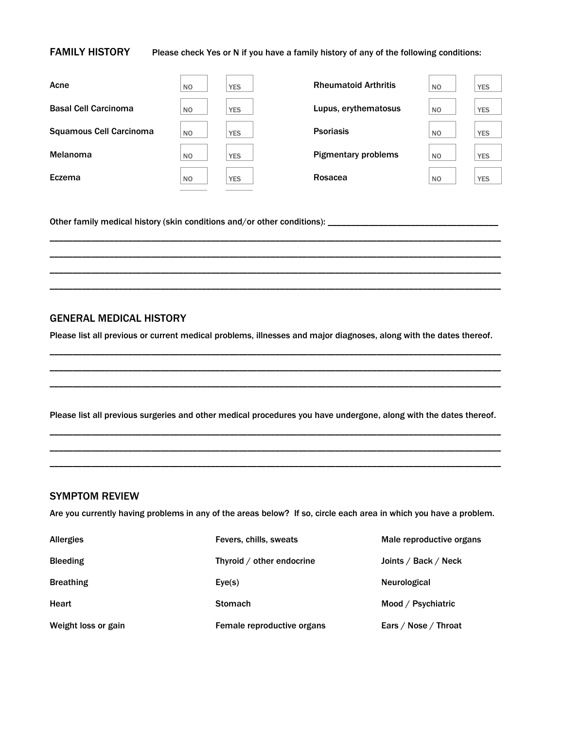#### FAMILY HISTORY Please check Yes or N if you have a family history of any of the following conditions:

| Acne                           | N <sub>O</sub> | <b>YES</b> | <b>Rheumatoid Arthritis</b> | <b>NO</b>      | <b>YES</b> |
|--------------------------------|----------------|------------|-----------------------------|----------------|------------|
| <b>Basal Cell Carcinoma</b>    | N <sub>O</sub> | <b>YES</b> | Lupus, erythematosus        | <b>NO</b>      | <b>YES</b> |
| <b>Squamous Cell Carcinoma</b> | N <sub>O</sub> | <b>YES</b> | <b>Psoriasis</b>            | <b>NO</b>      | <b>YES</b> |
| Melanoma                       | N <sub>O</sub> | <b>YES</b> | <b>Pigmentary problems</b>  | N <sub>O</sub> | <b>YES</b> |
| Eczema                         | N <sub>O</sub> | <b>YES</b> | Rosacea                     | N <sub>O</sub> | <b>YES</b> |
|                                |                |            |                             |                |            |

\_\_\_\_\_\_\_\_\_\_\_\_\_\_\_\_\_\_\_\_\_\_\_\_\_\_\_\_\_\_\_\_\_\_\_\_\_\_\_\_\_\_\_\_\_\_\_\_\_\_\_\_\_\_\_\_\_\_\_\_\_\_\_\_\_\_\_\_\_\_\_\_\_\_\_\_\_\_\_\_\_\_\_\_\_\_\_\_\_\_\_\_\_\_\_\_\_\_ \_\_\_\_\_\_\_\_\_\_\_\_\_\_\_\_\_\_\_\_\_\_\_\_\_\_\_\_\_\_\_\_\_\_\_\_\_\_\_\_\_\_\_\_\_\_\_\_\_\_\_\_\_\_\_\_\_\_\_\_\_\_\_\_\_\_\_\_\_\_\_\_\_\_\_\_\_\_\_\_\_\_\_\_\_\_\_\_\_\_\_\_\_\_\_\_\_\_ \_\_\_\_\_\_\_\_\_\_\_\_\_\_\_\_\_\_\_\_\_\_\_\_\_\_\_\_\_\_\_\_\_\_\_\_\_\_\_\_\_\_\_\_\_\_\_\_\_\_\_\_\_\_\_\_\_\_\_\_\_\_\_\_\_\_\_\_\_\_\_\_\_\_\_\_\_\_\_\_\_\_\_\_\_\_\_\_\_\_\_\_\_\_\_\_\_\_ \_\_\_\_\_\_\_\_\_\_\_\_\_\_\_\_\_\_\_\_\_\_\_\_\_\_\_\_\_\_\_\_\_\_\_\_\_\_\_\_\_\_\_\_\_\_\_\_\_\_\_\_\_\_\_\_\_\_\_\_\_\_\_\_\_\_\_\_\_\_\_\_\_\_\_\_\_\_\_\_\_\_\_\_\_\_\_\_\_\_\_\_\_\_\_\_\_\_

Other family medical history (skin conditions and/or other conditions): \_\_\_\_\_\_\_\_\_\_\_\_\_\_\_\_\_\_\_\_\_\_\_\_\_\_\_\_\_\_\_\_\_\_\_\_\_

# GENERAL MEDICAL HISTORY

Please list all previous or current medical problems, illnesses and major diagnoses, along with the dates thereof.

\_\_\_\_\_\_\_\_\_\_\_\_\_\_\_\_\_\_\_\_\_\_\_\_\_\_\_\_\_\_\_\_\_\_\_\_\_\_\_\_\_\_\_\_\_\_\_\_\_\_\_\_\_\_\_\_\_\_\_\_\_\_\_\_\_\_\_\_\_\_\_\_\_\_\_\_\_\_\_\_\_\_\_\_\_\_\_\_\_\_\_\_\_\_\_\_\_\_ \_\_\_\_\_\_\_\_\_\_\_\_\_\_\_\_\_\_\_\_\_\_\_\_\_\_\_\_\_\_\_\_\_\_\_\_\_\_\_\_\_\_\_\_\_\_\_\_\_\_\_\_\_\_\_\_\_\_\_\_\_\_\_\_\_\_\_\_\_\_\_\_\_\_\_\_\_\_\_\_\_\_\_\_\_\_\_\_\_\_\_\_\_\_\_\_\_\_ \_\_\_\_\_\_\_\_\_\_\_\_\_\_\_\_\_\_\_\_\_\_\_\_\_\_\_\_\_\_\_\_\_\_\_\_\_\_\_\_\_\_\_\_\_\_\_\_\_\_\_\_\_\_\_\_\_\_\_\_\_\_\_\_\_\_\_\_\_\_\_\_\_\_\_\_\_\_\_\_\_\_\_\_\_\_\_\_\_\_\_\_\_\_\_\_\_\_

Please list all previous surgeries and other medical procedures you have undergone, along with the dates thereof. \_\_\_\_\_\_\_\_\_\_\_\_\_\_\_\_\_\_\_\_\_\_\_\_\_\_\_\_\_\_\_\_\_\_\_\_\_\_\_\_\_\_\_\_\_\_\_\_\_\_\_\_\_\_\_\_\_\_\_\_\_\_\_\_\_\_\_\_\_\_\_\_\_\_\_\_\_\_\_\_\_\_\_\_\_\_\_\_\_\_\_\_\_\_\_\_\_\_

\_\_\_\_\_\_\_\_\_\_\_\_\_\_\_\_\_\_\_\_\_\_\_\_\_\_\_\_\_\_\_\_\_\_\_\_\_\_\_\_\_\_\_\_\_\_\_\_\_\_\_\_\_\_\_\_\_\_\_\_\_\_\_\_\_\_\_\_\_\_\_\_\_\_\_\_\_\_\_\_\_\_\_\_\_\_\_\_\_\_\_\_\_\_\_\_\_\_ \_\_\_\_\_\_\_\_\_\_\_\_\_\_\_\_\_\_\_\_\_\_\_\_\_\_\_\_\_\_\_\_\_\_\_\_\_\_\_\_\_\_\_\_\_\_\_\_\_\_\_\_\_\_\_\_\_\_\_\_\_\_\_\_\_\_\_\_\_\_\_\_\_\_\_\_\_\_\_\_\_\_\_\_\_\_\_\_\_\_\_\_\_\_\_\_\_\_

## SYMPTOM REVIEW

Are you currently having problems in any of the areas below? If so, circle each area in which you have a problem.

| <b>Allergies</b>    | Fevers, chills, sweats     | Male reproductive organs |
|---------------------|----------------------------|--------------------------|
| <b>Bleeding</b>     | Thyroid / other endocrine  | Joints / Back / Neck     |
| <b>Breathing</b>    | Eye(s)                     | Neurological             |
| Heart               | <b>Stomach</b>             | Mood / Psychiatric       |
| Weight loss or gain | Female reproductive organs | Ears / Nose / Throat     |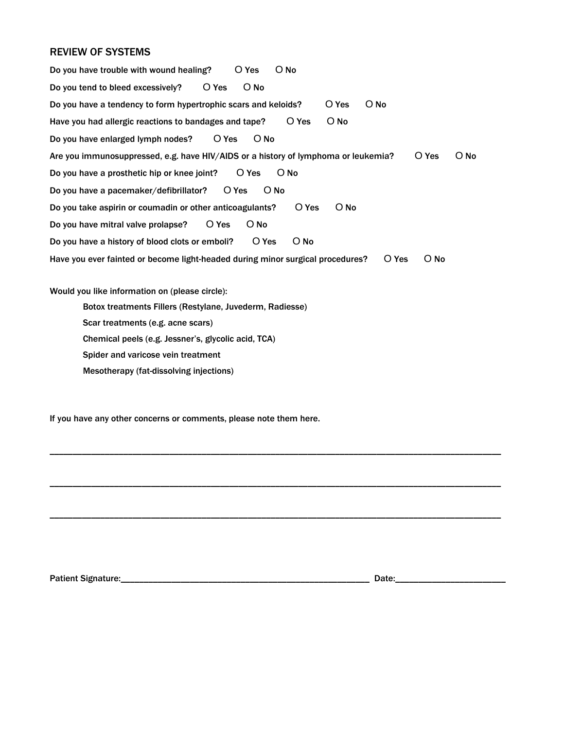# REVIEW OF SYSTEMS

Do you have trouble with wound healing? O Yes O No Do you tend to bleed excessively? O Yes O No Do you have a tendency to form hypertrophic scars and keloids? O Yes O No Have you had allergic reactions to bandages and tape? O Yes O No Do you have enlarged lymph nodes? O Yes O No Are you immunosuppressed, e.g. have HIV/AIDS or a history of lymphoma or leukemia? O Yes O No Do you have a prosthetic hip or knee joint? O Yes O No Do you have a pacemaker/defibrillator? O Yes O No Do you take aspirin or coumadin or other anticoagulants? O Yes O No Do you have mitral valve prolapse? O Yes O No Do you have a history of blood clots or emboli? O Yes O No Have you ever fainted or become light-headed during minor surgical procedures? O Yes O No Would you like information on (please circle): Botox treatments Fillers (Restylane, Juvederm, Radiesse) Scar treatments (e.g. acne scars) Chemical peels (e.g. Jessner's, glycolic acid, TCA) Spider and varicose vein treatment

\_\_\_\_\_\_\_\_\_\_\_\_\_\_\_\_\_\_\_\_\_\_\_\_\_\_\_\_\_\_\_\_\_\_\_\_\_\_\_\_\_\_\_\_\_\_\_\_\_\_\_\_\_\_\_\_\_\_\_\_\_\_\_\_\_\_\_\_\_\_\_\_\_\_\_\_\_\_\_\_\_\_\_\_\_\_\_\_\_\_\_\_\_\_\_\_\_\_

\_\_\_\_\_\_\_\_\_\_\_\_\_\_\_\_\_\_\_\_\_\_\_\_\_\_\_\_\_\_\_\_\_\_\_\_\_\_\_\_\_\_\_\_\_\_\_\_\_\_\_\_\_\_\_\_\_\_\_\_\_\_\_\_\_\_\_\_\_\_\_\_\_\_\_\_\_\_\_\_\_\_\_\_\_\_\_\_\_\_\_\_\_\_\_\_\_\_

\_\_\_\_\_\_\_\_\_\_\_\_\_\_\_\_\_\_\_\_\_\_\_\_\_\_\_\_\_\_\_\_\_\_\_\_\_\_\_\_\_\_\_\_\_\_\_\_\_\_\_\_\_\_\_\_\_\_\_\_\_\_\_\_\_\_\_\_\_\_\_\_\_\_\_\_\_\_\_\_\_\_\_\_\_\_\_\_\_\_\_\_\_\_\_\_\_\_

Mesotherapy (fat-dissolving injections)

If you have any other concerns or comments, please note them here.

Patient Signature:\_\_\_\_\_\_\_\_\_\_\_\_\_\_\_\_\_\_\_\_\_\_\_\_\_\_\_\_\_\_\_\_\_\_\_\_\_\_\_\_\_\_\_\_\_\_\_\_\_\_\_\_\_\_ Date:\_\_\_\_\_\_\_\_\_\_\_\_\_\_\_\_\_\_\_\_\_\_\_\_